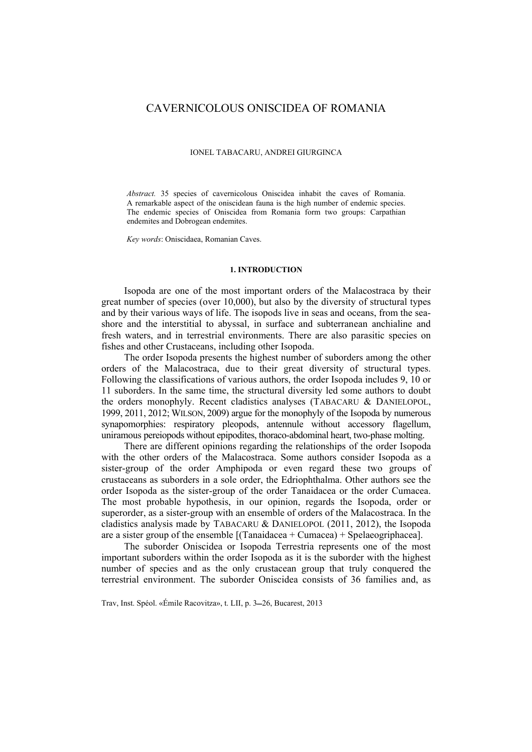# CAVERNICOLOUS ONISCIDEA OF ROMANIA

#### IONEL TABACARU, ANDREI GIURGINCA

*Abstract.* 35 species of cavernicolous Oniscidea inhabit the caves of Romania. A remarkable aspect of the oniscidean fauna is the high number of endemic species. The endemic species of Oniscidea from Romania form two groups: Carpathian endemites and Dobrogean endemites.

*Key words*: Oniscidaea, Romanian Caves.

### **1. INTRODUCTION**

Isopoda are one of the most important orders of the Malacostraca by their great number of species (over 10,000), but also by the diversity of structural types and by their various ways of life. The isopods live in seas and oceans, from the seashore and the interstitial to abyssal, in surface and subterranean anchialine and fresh waters, and in terrestrial environments. There are also parasitic species on fishes and other Crustaceans, including other Isopoda.

The order Isopoda presents the highest number of suborders among the other orders of the Malacostraca, due to their great diversity of structural types. Following the classifications of various authors, the order Isopoda includes 9, 10 or 11 suborders. In the same time, the structural diversity led some authors to doubt the orders monophyly. Recent cladistics analyses (TABACARU & DANIELOPOL, 1999, 2011, 2012; WILSON, 2009) argue for the monophyly of the Isopoda by numerous synapomorphies: respiratory pleopods, antennule without accessory flagellum, uniramous pereiopods without epipodites, thoraco-abdominal heart, two-phase molting.

There are different opinions regarding the relationships of the order Isopoda with the other orders of the Malacostraca. Some authors consider Isopoda as a sister-group of the order Amphipoda or even regard these two groups of crustaceans as suborders in a sole order, the Edriophthalma. Other authors see the order Isopoda as the sister-group of the order Tanaidacea or the order Cumacea. The most probable hypothesis, in our opinion, regards the Isopoda, order or superorder, as a sister-group with an ensemble of orders of the Malacostraca. In the cladistics analysis made by TABACARU & DANIELOPOL (2011, 2012), the Isopoda are a sister group of the ensemble [(Tanaidacea + Cumacea) + Spelaeogriphacea].

The suborder Oniscidea or Isopoda Terrestria represents one of the most important suborders within the order Isopoda as it is the suborder with the highest number of species and as the only crustacean group that truly conquered the terrestrial environment. The suborder Oniscidea consists of 36 families and, as

Trav, Inst. Spéol. «Émile Racovitza», t. LII, p. 3-26, Bucarest, 2013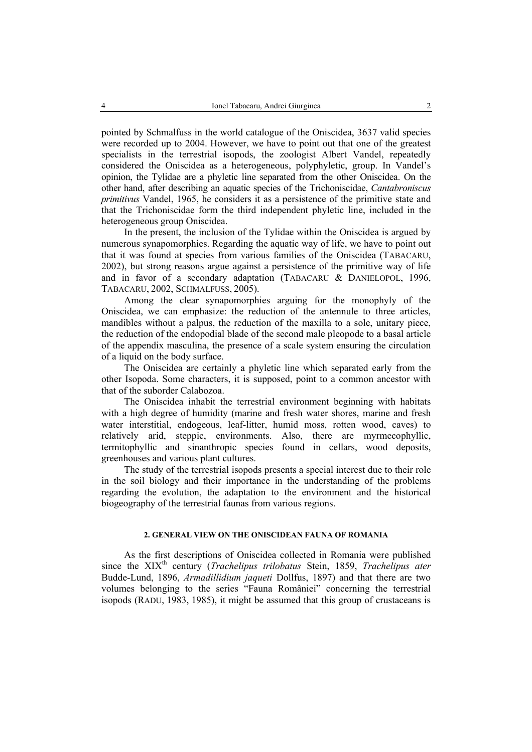pointed by Schmalfuss in the world catalogue of the Oniscidea, 3637 valid species were recorded up to 2004. However, we have to point out that one of the greatest specialists in the terrestrial isopods, the zoologist Albert Vandel, repeatedly considered the Oniscidea as a heterogeneous, polyphyletic, group. In Vandel's opinion, the Tylidae are a phyletic line separated from the other Oniscidea. On the other hand, after describing an aquatic species of the Trichoniscidae, *Cantabroniscus primitivus* Vandel, 1965, he considers it as a persistence of the primitive state and that the Trichoniscidae form the third independent phyletic line, included in the heterogeneous group Oniscidea.

In the present, the inclusion of the Tylidae within the Oniscidea is argued by numerous synapomorphies. Regarding the aquatic way of life, we have to point out that it was found at species from various families of the Oniscidea (TABACARU, 2002), but strong reasons argue against a persistence of the primitive way of life and in favor of a secondary adaptation (TABACARU & DANIELOPOL, 1996, TABACARU, 2002, SCHMALFUSS, 2005).

Among the clear synapomorphies arguing for the monophyly of the Oniscidea, we can emphasize: the reduction of the antennule to three articles, mandibles without a palpus, the reduction of the maxilla to a sole, unitary piece, the reduction of the endopodial blade of the second male pleopode to a basal article of the appendix masculina, the presence of a scale system ensuring the circulation of a liquid on the body surface.

The Oniscidea are certainly a phyletic line which separated early from the other Isopoda. Some characters, it is supposed, point to a common ancestor with that of the suborder Calabozoa.

The Oniscidea inhabit the terrestrial environment beginning with habitats with a high degree of humidity (marine and fresh water shores, marine and fresh water interstitial, endogeous, leaf-litter, humid moss, rotten wood, caves) to relatively arid, steppic, environments. Also, there are myrmecophyllic, termitophyllic and sinanthropic species found in cellars, wood deposits, greenhouses and various plant cultures.

The study of the terrestrial isopods presents a special interest due to their role in the soil biology and their importance in the understanding of the problems regarding the evolution, the adaptation to the environment and the historical biogeography of the terrestrial faunas from various regions.

## **2. GENERAL VIEW ON THE ONISCIDEAN FAUNA OF ROMANIA**

As the first descriptions of Oniscidea collected in Romania were published since the XIX<sup>th</sup> century (*Trachelipus trilobatus Stein*, 1859, *Trachelipus ater* Budde-Lund, 1896, *Armadillidium jaqueti* Dollfus, 1897) and that there are two volumes belonging to the series "Fauna României" concerning the terrestrial isopods (RADU, 1983, 1985), it might be assumed that this group of crustaceans is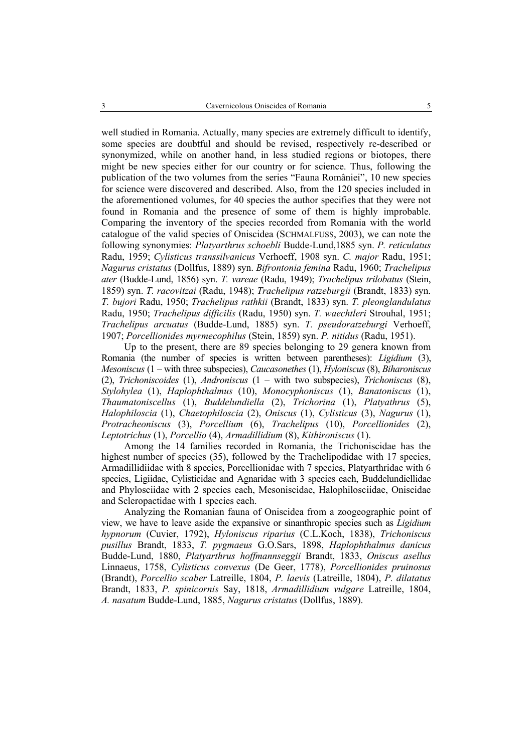well studied in Romania. Actually, many species are extremely difficult to identify, some species are doubtful and should be revised, respectively re-described or synonymized, while on another hand, in less studied regions or biotopes, there might be new species either for our country or for science. Thus, following the publication of the two volumes from the series "Fauna României", 10 new species for science were discovered and described. Also, from the 120 species included in the aforementioned volumes, for 40 species the author specifies that they were not found in Romania and the presence of some of them is highly improbable. Comparing the inventory of the species recorded from Romania with the world catalogue of the valid species of Oniscidea (SCHMALFUSS, 2003), we can note the following synonymies: *Platyarthrus schoebli* Budde-Lund,1885 syn. *P. reticulatus* Radu, 1959; *Cylisticus transsilvanicus* Verhoeff, 1908 syn. *C. major* Radu, 1951; *Nagurus cristatus* (Dollfus, 1889) syn. *Bifrontonia femina* Radu, 1960; *Trachelipus ater* (Budde-Lund, 1856) syn. *T. vareae* (Radu, 1949); *Trachelipus trilobatus* (Stein, 1859) syn. *T. racovitzai* (Radu, 1948); *Trachelipus ratzeburgii* (Brandt, 1833) syn. *T. bujori* Radu, 1950; *Trachelipus rathkii* (Brandt, 1833) syn. *T. pleonglandulatus*  Radu, 1950; *Trachelipus difficilis* (Radu, 1950) syn. *T. waechtleri* Strouhal, 1951; *Trachelipus arcuatus* (Budde-Lund, 1885) syn. *T. pseudoratzeburgi* Verhoeff, 1907; *Porcellionides myrmecophilus* (Stein, 1859) syn. *P. nitidus* (Radu, 1951).

Up to the present, there are 89 species belonging to 29 genera known from Romania (the number of species is written between parentheses): *Ligidium* (3), *Mesoniscus* (1 – with three subspecies), *Caucasonethes* (1), *Hyloniscus* (8), *Biharoniscus*  (2), *Trichoniscoides* (1), *Androniscus* (1 – with two subspecies), *Trichoniscus* (8), *Stylohylea* (1), *Haplophthalmus* (10), *Monocyphoniscus* (1), *Banatoniscus* (1), *Thaumatoniscellus* (1), *Buddelundiella* (2), *Trichorina* (1), *Platyathrus* (5), *Halophiloscia* (1), *Chaetophiloscia* (2), *Oniscus* (1), *Cylisticus* (3), *Nagurus* (1), *Protracheoniscus* (3), *Porcellium* (6), *Trachelipus* (10), *Porcellionides* (2), *Leptotrichus* (1), *Porcellio* (4), *Armadillidium* (8), *Kithironiscus* (1).

Among the 14 families recorded in Romania, the Trichoniscidae has the highest number of species (35), followed by the Trachelipodidae with 17 species, Armadillidiidae with 8 species, Porcellionidae with 7 species, Platyarthridae with 6 species, Ligiidae, Cylisticidae and Agnaridae with 3 species each, Buddelundiellidae and Phylosciidae with 2 species each, Mesoniscidae, Halophilosciidae, Oniscidae and Scleropactidae with 1 species each.

Analyzing the Romanian fauna of Oniscidea from a zoogeographic point of view, we have to leave aside the expansive or sinanthropic species such as *Ligidium hypnorum* (Cuvier, 1792), *Hyloniscus riparius* (C.L.Koch, 1838), *Trichoniscus pusillus* Brandt, 1833, *T. pygmaeus* G.O.Sars, 1898, *Haplophthalmus danicus*  Budde-Lund, 1880, *Platyarthrus hoffmannseggii* Brandt, 1833, *Oniscus asellus*  Linnaeus, 1758, *Cylisticus convexus* (De Geer, 1778), *Porcellionides pruinosus*  (Brandt), *Porcellio scaber* Latreille, 1804, *P. laevis* (Latreille, 1804), *P. dilatatus*  Brandt, 1833, *P. spinicornis* Say, 1818, *Armadillidium vulgare* Latreille, 1804, *A. nasatum* Budde-Lund, 1885, *Nagurus cristatus* (Dollfus, 1889).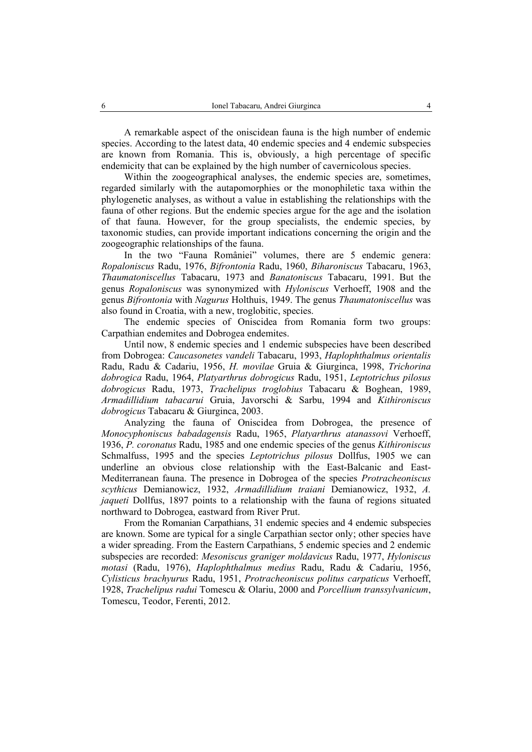A remarkable aspect of the oniscidean fauna is the high number of endemic species. According to the latest data, 40 endemic species and 4 endemic subspecies are known from Romania. This is, obviously, a high percentage of specific endemicity that can be explained by the high number of cavernicolous species.

Within the zoogeographical analyses, the endemic species are, sometimes, regarded similarly with the autapomorphies or the monophiletic taxa within the phylogenetic analyses, as without a value in establishing the relationships with the fauna of other regions. But the endemic species argue for the age and the isolation of that fauna. However, for the group specialists, the endemic species, by taxonomic studies, can provide important indications concerning the origin and the zoogeographic relationships of the fauna.

In the two "Fauna României" volumes, there are 5 endemic genera: *Ropaloniscus* Radu, 1976, *Bifrontonia* Radu, 1960, *Biharoniscus* Tabacaru, 1963, *Thaumatoniscellus* Tabacaru, 1973 and *Banatoniscus* Tabacaru, 1991. But the genus *Ropaloniscus* was synonymized with *Hyloniscus* Verhoeff, 1908 and the genus *Bifrontonia* with *Nagurus* Holthuis, 1949. The genus *Thaumatoniscellus* was also found in Croatia, with a new, troglobitic, species.

The endemic species of Oniscidea from Romania form two groups: Carpathian endemites and Dobrogea endemites.

Until now, 8 endemic species and 1 endemic subspecies have been described from Dobrogea: *Caucasonetes vandeli* Tabacaru, 1993, *Haplophthalmus orientalis* Radu, Radu & Cadariu, 1956, *H. movilae* Gruia & Giurginca, 1998, *Trichorina dobrogica* Radu, 1964, *Platyarthrus dobrogicus* Radu, 1951, *Leptotrichus pilosus dobrogicus* Radu, 1973, *Trachelipus troglobius* Tabacaru & Boghean, 1989, *Armadillidium tabacarui* Gruia, Javorschi & Sarbu, 1994 and *Kithironiscus dobrogicus* Tabacaru & Giurginca, 2003.

Analyzing the fauna of Oniscidea from Dobrogea, the presence of *Monocyphoniscus babadagensis* Radu, 1965, *Platyarthrus atanassovi* Verhoeff, 1936, *P. coronatus* Radu, 1985 and one endemic species of the genus *Kithironiscus* Schmalfuss, 1995 and the species *Leptotrichus pilosus* Dollfus, 1905 we can underline an obvious close relationship with the East-Balcanic and East-Mediterranean fauna. The presence in Dobrogea of the species *Protracheoniscus scythicus* Demianowicz, 1932, *Armadillidium traiani* Demianowicz, 1932, *A. jaqueti* Dollfus, 1897 points to a relationship with the fauna of regions situated northward to Dobrogea, eastward from River Prut.

From the Romanian Carpathians, 31 endemic species and 4 endemic subspecies are known. Some are typical for a single Carpathian sector only; other species have a wider spreading. From the Eastern Carpathians, 5 endemic species and 2 endemic subspecies are recorded: *Mesoniscus graniger moldavicus* Radu, 1977, *Hyloniscus motasi* (Radu, 1976), *Haplophthalmus medius* Radu, Radu & Cadariu, 1956, *Cylisticus brachyurus* Radu, 1951, *Protracheoniscus politus carpaticus* Verhoeff, 1928, *Trachelipus radui* Tomescu & Olariu, 2000 and *Porcellium transsylvanicum*, Tomescu, Teodor, Ferenti, 2012.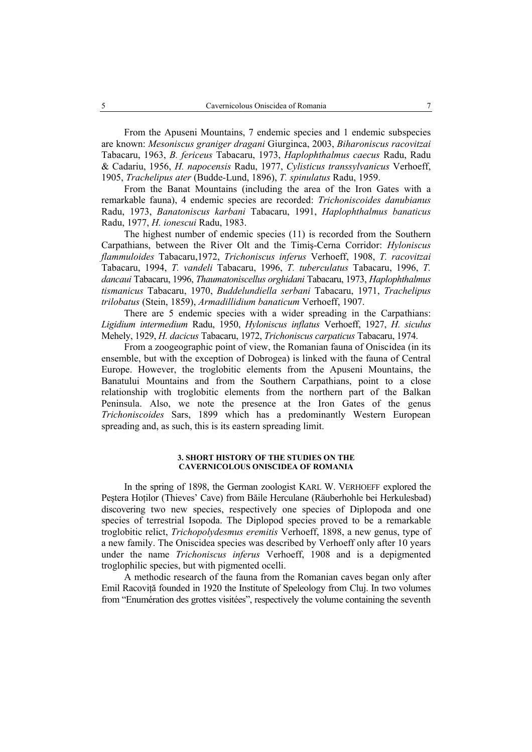From the Apuseni Mountains, 7 endemic species and 1 endemic subspecies are known: *Mesoniscus graniger dragani* Giurginca, 2003, *Biharoniscus racovitzai*  Tabacaru, 1963, *B. fericeus* Tabacaru, 1973, *Haplophthalmus caecus* Radu, Radu & Cadariu, 1956, *H. napocensis* Radu, 1977, *Cylisticus transsylvanicus* Verhoeff, 1905, *Trachelipus ater* (Budde-Lund, 1896), *T. spinulatus* Radu, 1959.

From the Banat Mountains (including the area of the Iron Gates with a remarkable fauna), 4 endemic species are recorded: *Trichoniscoides danubianus*  Radu, 1973, *Banatoniscus karbani* Tabacaru, 1991, *Haplophthalmus banaticus*  Radu, 1977, *H. ionescui* Radu, 1983.

The highest number of endemic species (11) is recorded from the Southern Carpathians, between the River Olt and the Timiş-Cerna Corridor: *Hyloniscus flammuloides* Tabacaru,1972, *Trichoniscus inferus* Verhoeff, 1908, *T. racovitzai*  Tabacaru, 1994, *T. vandeli* Tabacaru, 1996, *T. tuberculatus* Tabacaru, 1996, *T. dancaui* Tabacaru, 1996, *Thaumatoniscellus orghidani* Tabacaru, 1973, *Haplophthalmus tismanicus* Tabacaru, 1970, *Buddelundiella serbani* Tabacaru, 1971, *Trachelipus trilobatus* (Stein, 1859), *Armadillidium banaticum* Verhoeff, 1907.

There are 5 endemic species with a wider spreading in the Carpathians: *Ligidium intermedium* Radu, 1950, *Hyloniscus inflatus* Verhoeff, 1927, *H. siculus*  Mehely, 1929, *H. dacicus* Tabacaru, 1972, *Trichoniscus carpaticus* Tabacaru, 1974.

From a zoogeographic point of view, the Romanian fauna of Oniscidea (in its ensemble, but with the exception of Dobrogea) is linked with the fauna of Central Europe. However, the troglobitic elements from the Apuseni Mountains, the Banatului Mountains and from the Southern Carpathians, point to a close relationship with troglobitic elements from the northern part of the Balkan Peninsula. Also, we note the presence at the Iron Gates of the genus *Trichoniscoides* Sars, 1899 which has a predominantly Western European spreading and, as such, this is its eastern spreading limit.

#### **3. SHORT HISTORY OF THE STUDIES ON THE CAVERNICOLOUS ONISCIDEA OF ROMANIA**

In the spring of 1898, the German zoologist KARL W. VERHOEFF explored the Pestera Hotilor (Thieves' Cave) from Băile Herculane (Räuberhohle bei Herkulesbad) discovering two new species, respectively one species of Diplopoda and one species of terrestrial Isopoda. The Diplopod species proved to be a remarkable troglobitic relict, *Trichopolydesmus eremitis* Verhoeff, 1898, a new genus, type of a new family. The Oniscidea species was described by Verhoeff only after 10 years under the name *Trichoniscus inferus* Verhoeff, 1908 and is a depigmented troglophilic species, but with pigmented ocelli.

A methodic research of the fauna from the Romanian caves began only after Emil Racoviță founded in 1920 the Institute of Speleology from Cluj. In two volumes from "Enumération des grottes visitées", respectively the volume containing the seventh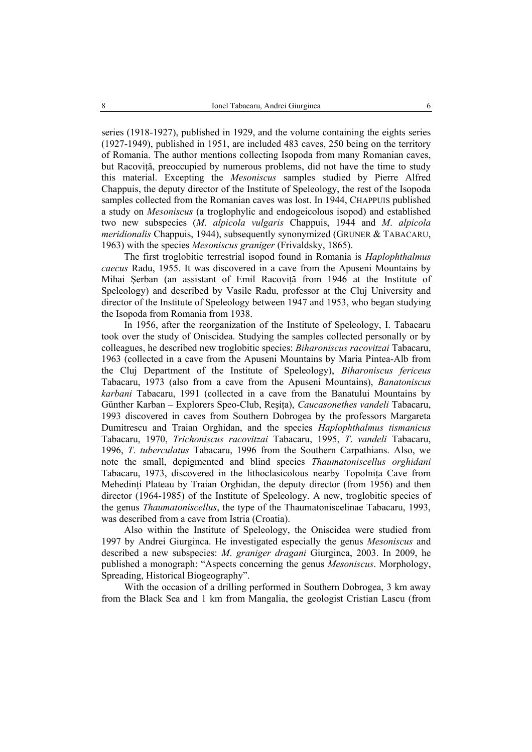series (1918-1927), published in 1929, and the volume containing the eights series (1927-1949), published in 1951, are included 483 caves, 250 being on the territory of Romania. The author mentions collecting Isopoda from many Romanian caves, but Racoviţă, preoccupied by numerous problems, did not have the time to study this material. Excepting the *Mesoniscus* samples studied by Pierre Alfred Chappuis, the deputy director of the Institute of Speleology, the rest of the Isopoda samples collected from the Romanian caves was lost. In 1944, CHAPPUIS published a study on *Mesoniscus* (a troglophylic and endogeicolous isopod) and established two new subspecies (*M*. *alpicola vulgaris* Chappuis, 1944 and *M*. *alpicola meridionalis* Chappuis, 1944), subsequently synonymized (GRUNER & TABACARU, 1963) with the species *Mesoniscus graniger* (Frivaldsky, 1865).

The first troglobitic terrestrial isopod found in Romania is *Haplophthalmus caecus* Radu, 1955. It was discovered in a cave from the Apuseni Mountains by Mihai Serban (an assistant of Emil Racovită from 1946 at the Institute of Speleology) and described by Vasile Radu, professor at the Cluj University and director of the Institute of Speleology between 1947 and 1953, who began studying the Isopoda from Romania from 1938.

In 1956, after the reorganization of the Institute of Speleology, I. Tabacaru took over the study of Oniscidea. Studying the samples collected personally or by colleagues, he described new troglobitic species: *Biharoniscus racovitzai* Tabacaru, 1963 (collected in a cave from the Apuseni Mountains by Maria Pintea-Alb from the Cluj Department of the Institute of Speleology), *Biharoniscus fericeus* Tabacaru, 1973 (also from a cave from the Apuseni Mountains), *Banatoniscus karbani* Tabacaru, 1991 (collected in a cave from the Banatului Mountains by Günther Karban – Explorers Speo-Club, Reşiţa), *Caucasonethes vandeli* Tabacaru, 1993 discovered in caves from Southern Dobrogea by the professors Margareta Dumitrescu and Traian Orghidan, and the species *Haplophthalmus tismanicus* Tabacaru, 1970, *Trichoniscus racovitzai* Tabacaru, 1995, *T*. *vandeli* Tabacaru, 1996, *T*. *tuberculatus* Tabacaru, 1996 from the Southern Carpathians. Also, we note the small, depigmented and blind species *Thaumatoniscellus orghidani* Tabacaru, 1973, discovered in the lithoclasicolous nearby Topolnita Cave from Mehedinti Plateau by Traian Orghidan, the deputy director (from 1956) and then director (1964-1985) of the Institute of Speleology. A new, troglobitic species of the genus *Thaumatoniscellus*, the type of the Thaumatoniscelinae Tabacaru, 1993, was described from a cave from Istria (Croatia).

Also within the Institute of Speleology, the Oniscidea were studied from 1997 by Andrei Giurginca. He investigated especially the genus *Mesoniscus* and described a new subspecies: *M*. *graniger dragani* Giurginca, 2003. In 2009, he published a monograph: "Aspects concerning the genus *Mesoniscus*. Morphology, Spreading, Historical Biogeography".

With the occasion of a drilling performed in Southern Dobrogea, 3 km away from the Black Sea and 1 km from Mangalia, the geologist Cristian Lascu (from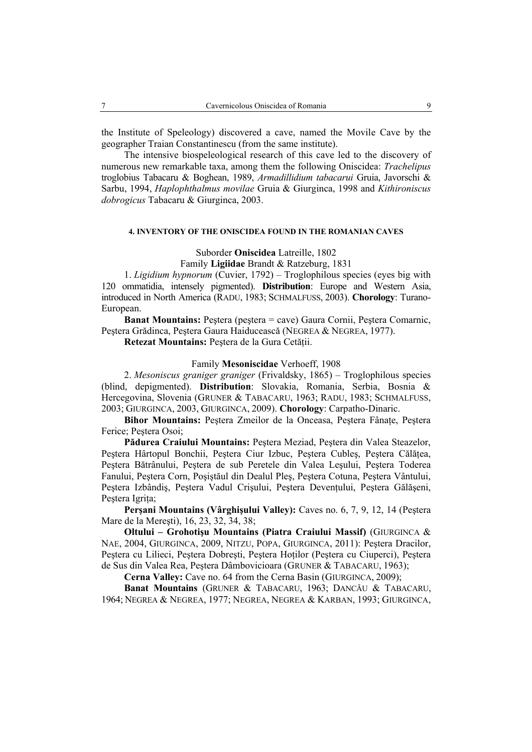the Institute of Speleology) discovered a cave, named the Movile Cave by the geographer Traian Constantinescu (from the same institute).

The intensive biospeleological research of this cave led to the discovery of numerous new remarkable taxa, among them the following Oniscidea: *Trachelipus*  troglobius Tabacaru & Boghean, 1989, *Armadillidium tabacarui* Gruia, Javorschi & Sarbu, 1994, *Haplophthalmus movilae* Gruia & Giurginca, 1998 and *Kithironiscus dobrogicus* Tabacaru & Giurginca, 2003.

## **4. INVENTORY OF THE ONISCIDEA FOUND IN THE ROMANIAN CAVES**

Suborder **Oniscidea** Latreille, 1802

Family **Ligiidae** Brandt & Ratzeburg, 1831

1. *Ligidium hypnorum* (Cuvier, 1792) – Troglophilous species (eyes big with 120 ommatidia, intensely pigmented). **Distribution**: Europe and Western Asia, introduced in North America (RADU, 1983; SCHMALFUSS, 2003). **Chorology**: Turano-European.

**Banat Mountains:** Peştera (peştera = cave) Gaura Cornii, Peştera Comarnic, Peştera Grădinca, Peştera Gaura Haiducească (NEGREA & NEGREA, 1977).

**Retezat Mountains:** Peştera de la Gura Cetăţii.

## Family **Mesoniscidae** Verhoeff, 1908

2. *Mesoniscus graniger graniger* (Frivaldsky, 1865) – Troglophilous species (blind, depigmented). **Distribution**: Slovakia, Romania, Serbia, Bosnia & Hercegovina, Slovenia (GRUNER & TABACARU, 1963; RADU, 1983; SCHMALFUSS, 2003; GIURGINCA, 2003, GIURGINCA, 2009). **Chorology**: Carpatho-Dinaric.

**Bihor Mountains:** Peştera Zmeilor de la Onceasa, Peştera Fânaţe, Peştera Ferice; Pestera Osoi;

**Pădurea Craiului Mountains:** Peştera Meziad, Peştera din Valea Steazelor, Peştera Hârtopul Bonchii, Peştera Ciur Izbuc, Peştera Cubleş, Peştera Călăţea, Peştera Bătrânului, Peştera de sub Peretele din Valea Leşului, Peştera Toderea Fanului, Peştera Corn, Poşiştăul din Dealul Pleş, Peştera Cotuna, Peştera Vântului, Peştera Izbândiş, Peştera Vadul Crişului, Peştera Devenţului, Peştera Gălăşeni, Pestera Igrita;

**Perşani Mountains (Vârghişului Valley):** Caves no. 6, 7, 9, 12, 14 (Peştera Mare de la Mereşti), 16, 23, 32, 34, 38;

**Oltului – Grohotişu Mountains (Piatra Craiului Massif)** (GIURGINCA & NAE, 2004, GIURGINCA, 2009, NITZU, POPA, GIURGINCA, 2011): Peştera Dracilor, Peştera cu Lilieci, Peştera Dobreşti, Peştera Hoţilor (Peştera cu Ciuperci), Peştera de Sus din Valea Rea, Peştera Dâmbovicioara (GRUNER & TABACARU, 1963);

**Cerna Valley:** Cave no. 64 from the Cerna Basin (GIURGINCA, 2009);

**Banat Mountains** (GRUNER & TABACARU, 1963; DANCĂU & TABACARU, 1964; NEGREA & NEGREA, 1977; NEGREA, NEGREA & KARBAN, 1993; GIURGINCA,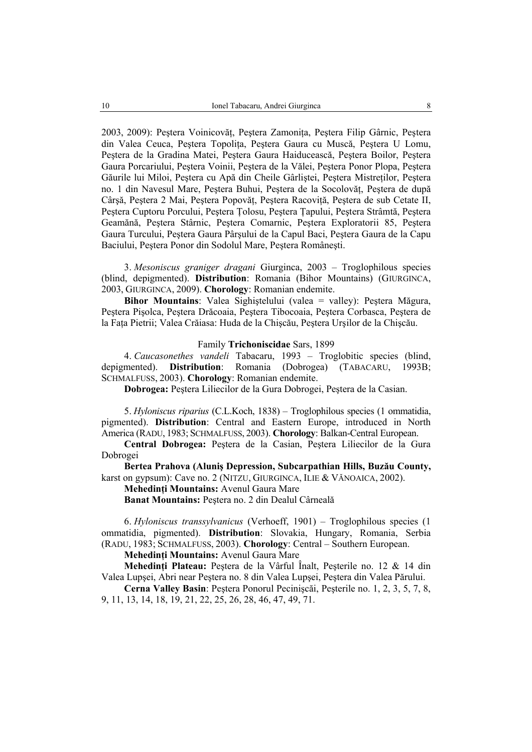2003, 2009): Peştera Voinicovăţ, Peştera Zamoniţa, Peştera Filip Gârnic, Peştera din Valea Ceuca, Peştera Topoliţa, Peştera Gaura cu Muscă, Peştera U Lomu, Peştera de la Gradina Matei, Peştera Gaura Haiducească, Peştera Boilor, Peştera Gaura Porcariului, Peştera Voinii, Peştera de la Vălei, Peştera Ponor Plopa, Peştera Găurile lui Miloi, Pestera cu Apă din Cheile Gârlistei, Pestera Mistretilor, Pestera no. 1 din Navesul Mare, Peştera Buhui, Peştera de la Socolovăţ, Peştera de după Cârsă, Pestera 2 Mai, Pestera Popovăt, Pestera Racovită, Pestera de sub Cetate II, Peştera Cuptoru Porcului, Peştera Ţolosu, Peştera Ţapului, Peştera Strâmtă, Peştera Geamănă, Peştera Stârnic, Peştera Comarnic, Peştera Exploratorii 85, Peştera Gaura Turcului, Peştera Gaura Pârşului de la Capul Baci, Peştera Gaura de la Capu Baciului, Peştera Ponor din Sodolul Mare, Peştera Româneşti.

3. *Mesoniscus graniger dragani* Giurginca, 2003 – Troglophilous species (blind, depigmented). **Distribution**: Romania (Bihor Mountains) (GIURGINCA, 2003, GIURGINCA, 2009). **Chorology**: Romanian endemite.

**Bihor Mountains**: Valea Sighiştelului (valea = valley): Peştera Măgura, Peştera Pişolca, Peştera Drăcoaia, Peştera Tibocoaia, Peştera Corbasca, Peştera de la Faţa Pietrii; Valea Crăiasa: Huda de la Chişcău, Peştera Urşilor de la Chişcău.

#### Family **Trichoniscidae** Sars, 1899

4. *Caucasonethes vandeli* Tabacaru, 1993 – Troglobitic species (blind, depigmented). **Distribution**: Romania (Dobrogea) (TABACARU, 1993B; SCHMALFUSS, 2003). **Chorology**: Romanian endemite.

**Dobrogea:** Peştera Liliecilor de la Gura Dobrogei, Peştera de la Casian.

5. *Hyloniscus riparius* (C.L.Koch, 1838) – Troglophilous species (1 ommatidia, pigmented). **Distribution**: Central and Eastern Europe, introduced in North America (RADU, 1983; SCHMALFUSS, 2003). **Chorology**: Balkan-Central European.

**Central Dobrogea:** Peştera de la Casian, Peştera Liliecilor de la Gura Dobrogei

**Bertea Prahova (Aluniş Depression, Subcarpathian Hills, Buzău County,**  karst on gypsum): Cave no. 2 (NITZU, GIURGINCA, ILIE & VĂNOAICA, 2002).

**Mehedinţi Mountains:** Avenul Gaura Mare

**Banat Mountains:** Peştera no. 2 din Dealul Cârneală

6. *Hyloniscus transsylvanicus* (Verhoeff, 1901) – Troglophilous species (1 ommatidia, pigmented). **Distribution**: Slovakia, Hungary, Romania, Serbia (RADU, 1983; SCHMALFUSS, 2003). **Chorology**: Central – Southern European.

**Mehedinţi Mountains:** Avenul Gaura Mare

**Mehedinţi Plateau:** Peştera de la Vârful Înalt, Peşterile no. 12 & 14 din Valea Lupşei, Abri near Peştera no. 8 din Valea Lupşei, Peştera din Valea Părului.

**Cerna Valley Basin**: Peştera Ponorul Pecinişcăi, Peşterile no. 1, 2, 3, 5, 7, 8, 9, 11, 13, 14, 18, 19, 21, 22, 25, 26, 28, 46, 47, 49, 71.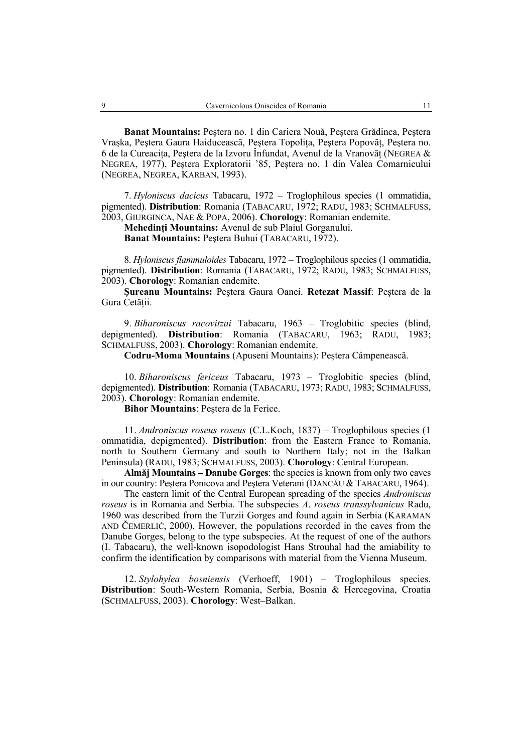**Banat Mountains:** Peştera no. 1 din Cariera Nouă, Peştera Grădinca, Peştera Vraşka, Peştera Gaura Haiducească, Peştera Topoliţa, Peştera Popovăţ, Peştera no. 6 de la Cureacita, Pestera de la Izvoru Înfundat, Avenul de la Vranovăt (NEGREA  $\&$ NEGREA, 1977), Peştera Exploratorii '85, Peştera no. 1 din Valea Comarnicului (NEGREA, NEGREA, KARBAN, 1993).

7. *Hyloniscus dacicus* Tabacaru, 1972 – Troglophilous species (1 ommatidia, pigmented). **Distribution**: Romania (TABACARU, 1972; RADU, 1983; SCHMALFUSS, 2003, GIURGINCA, NAE & POPA, 2006). **Chorology**: Romanian endemite.

**Mehedinţi Mountains:** Avenul de sub Plaiul Gorganului.

**Banat Mountains:** Peştera Buhui (TABACARU, 1972).

8. *Hyloniscus flammuloides* Tabacaru, 1972 – Troglophilous species (1 ommatidia, pigmented). **Distribution**: Romania (TABACARU, 1972; RADU, 1983; SCHMALFUSS, 2003). **Chorology**: Romanian endemite.

**Şureanu Mountains:** Peştera Gaura Oanei. **Retezat Massif**: Peştera de la Gura Cetății.

9. *Biharoniscus racovitzai* Tabacaru, 1963 – Troglobitic species (blind, depigmented). **Distribution**: Romania (TABACARU, 1963; RADU, 1983; SCHMALFUSS, 2003). **Chorology**: Romanian endemite.

**Codru-Moma Mountains** (Apuseni Mountains): Peştera Câmpenească.

10. *Biharoniscus fericeus* Tabacaru, 1973 – Troglobitic species (blind, depigmented). **Distribution**: Romania (TABACARU, 1973; RADU, 1983; SCHMALFUSS, 2003). **Chorology**: Romanian endemite.

**Bihor Mountains**: Peştera de la Ferice.

11. *Androniscus roseus roseus* (C.L.Koch, 1837) – Troglophilous species (1 ommatidia, depigmented). **Distribution**: from the Eastern France to Romania, north to Southern Germany and south to Northern Italy; not in the Balkan Peninsula) (RADU, 1983; SCHMALFUSS, 2003). **Chorology**: Central European.

**Almăj Mountains – Danube Gorges**: the species is known from only two caves in our country: Peştera Ponicova and Peştera Veterani (DANCĂU & TABACARU, 1964).

The eastern limit of the Central European spreading of the species *Androniscus roseus* is in Romania and Serbia. The subspecies *A*. *roseus transsylvanicus* Radu, 1960 was described from the Turzii Gorges and found again in Serbia (KARAMAN AND ČEMERLIĆ, 2000). However, the populations recorded in the caves from the Danube Gorges, belong to the type subspecies. At the request of one of the authors (I. Tabacaru), the well-known isopodologist Hans Strouhal had the amiability to confirm the identification by comparisons with material from the Vienna Museum.

12. *Stylohylea bosniensis* (Verhoeff, 1901) – Troglophilous species. **Distribution**: South-Western Romania, Serbia, Bosnia & Hercegovina, Croatia (SCHMALFUSS, 2003). **Chorology**: West–Balkan.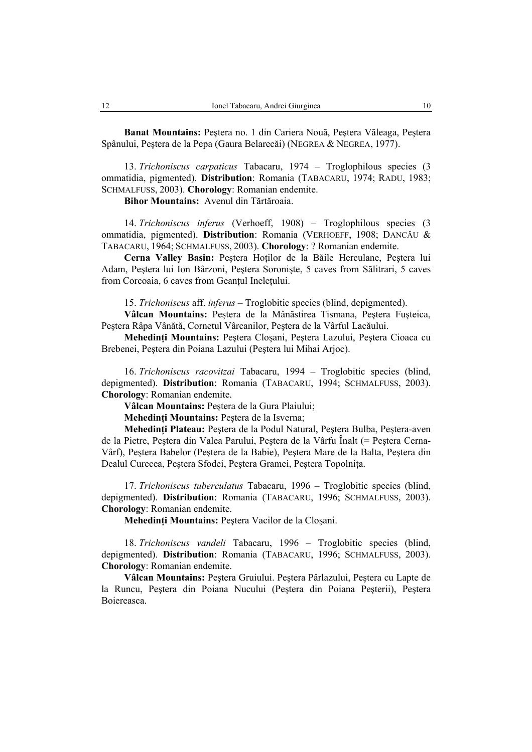**Banat Mountains:** Peştera no. 1 din Cariera Nouă, Peştera Văleaga, Peştera Spânului, Peştera de la Pepa (Gaura Belarecăi) (NEGREA & NEGREA, 1977).

13. *Trichoniscus carpaticus* Tabacaru, 1974 – Troglophilous species (3 ommatidia, pigmented). **Distribution**: Romania (TABACARU, 1974; RADU, 1983; SCHMALFUSS, 2003). **Chorology**: Romanian endemite.

**Bihor Mountains:** Avenul din Tărtăroaia.

14. *Trichoniscus inferus* (Verhoeff, 1908) – Troglophilous species (3 ommatidia, pigmented). **Distribution**: Romania (VERHOEFF, 1908; DANCĂU & TABACARU, 1964; SCHMALFUSS, 2003). **Chorology**: ? Romanian endemite.

**Cerna Valley Basin:** Peştera Hoţilor de la Băile Herculane, Peştera lui Adam, Peştera lui Ion Bârzoni, Peştera Soronişte, 5 caves from Sălitrari, 5 caves from Corcoaia, 6 caves from Geantul Ineletului.

15. *Trichoniscus* aff. *inferus* – Troglobitic species (blind, depigmented).

**Vâlcan Mountains:** Peştera de la Mânăstirea Tismana, Peştera Fuşteica, Peştera Râpa Vânătă, Cornetul Vârcanilor, Peştera de la Vârful Lacăului.

**Mehedinţi Mountains:** Peştera Cloşani, Peştera Lazului, Peştera Cioaca cu Brebenei, Peştera din Poiana Lazului (Peştera lui Mihai Arjoc).

16. *Trichoniscus racovitzai* Tabacaru, 1994 – Troglobitic species (blind, depigmented). **Distribution**: Romania (TABACARU, 1994; SCHMALFUSS, 2003). **Chorology**: Romanian endemite.

**Vâlcan Mountains:** Peştera de la Gura Plaiului;

**Mehedinţi Mountains:** Peştera de la Isverna;

**Mehedinţi Plateau:** Peştera de la Podul Natural, Peştera Bulba, Peştera-aven de la Pietre, Peştera din Valea Parului, Peştera de la Vârfu Înalt (= Peştera Cerna-Vârf), Peştera Babelor (Peştera de la Babie), Peştera Mare de la Balta, Peştera din Dealul Curecea, Peştera Sfodei, Peştera Gramei, Peştera Topolniţa.

17. *Trichoniscus tuberculatus* Tabacaru, 1996 – Troglobitic species (blind, depigmented). **Distribution**: Romania (TABACARU, 1996; SCHMALFUSS, 2003). **Chorology**: Romanian endemite.

**Mehedinţi Mountains:** Peştera Vacilor de la Cloşani.

18. *Trichoniscus vandeli* Tabacaru, 1996 – Troglobitic species (blind, depigmented). **Distribution**: Romania (TABACARU, 1996; SCHMALFUSS, 2003). **Chorology**: Romanian endemite.

**Vâlcan Mountains:** Peştera Gruiului. Peştera Pârlazului, Peştera cu Lapte de la Runcu, Peştera din Poiana Nucului (Peştera din Poiana Peşterii), Peştera Boiereasca.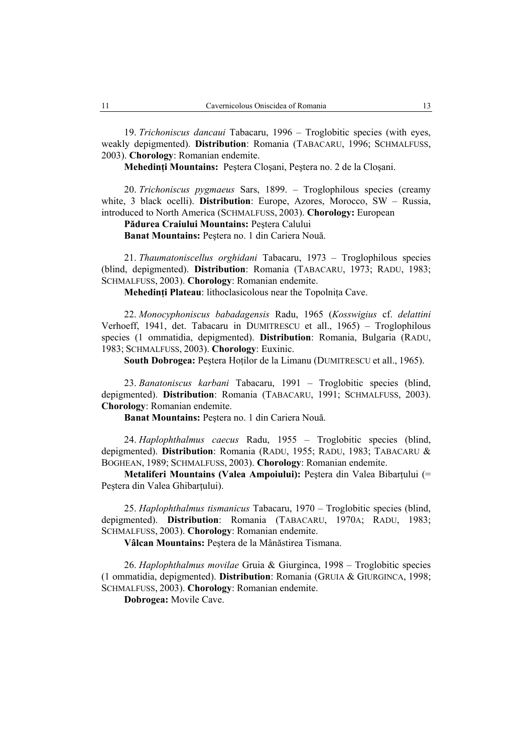19. *Trichoniscus dancaui* Tabacaru, 1996 – Troglobitic species (with eyes, weakly depigmented). **Distribution**: Romania (TABACARU, 1996; SCHMALFUSS, 2003). **Chorology**: Romanian endemite.

**Mehedinţi Mountains:** Peştera Cloşani, Peştera no. 2 de la Cloşani.

20. *Trichoniscus pygmaeus* Sars, 1899. – Troglophilous species (creamy white, 3 black ocelli). **Distribution**: Europe, Azores, Morocco, SW – Russia, introduced to North America (SCHMALFUSS, 2003). **Chorology:** European

**Pădurea Craiului Mountains:** Peştera Calului

**Banat Mountains:** Peştera no. 1 din Cariera Nouă.

21. *Thaumatoniscellus orghidani* Tabacaru, 1973 – Troglophilous species (blind, depigmented). **Distribution**: Romania (TABACARU, 1973; RADU, 1983; SCHMALFUSS, 2003). **Chorology**: Romanian endemite.

**Mehedinti Plateau**: lithoclasicolous near the Topolnita Cave.

22. *Monocyphoniscus babadagensis* Radu, 1965 (*Kosswigius* cf. *delattini* Verhoeff, 1941, det. Tabacaru in DUMITRESCU et all., 1965) – Troglophilous species (1 ommatidia, depigmented). **Distribution**: Romania, Bulgaria (RADU, 1983; SCHMALFUSS, 2003). **Chorology**: Euxinic.

**South Dobrogea: Pestera Hotilor de la Limanu (DUMITRESCU et all., 1965).** 

23. *Banatoniscus karbani* Tabacaru, 1991 – Troglobitic species (blind, depigmented). **Distribution**: Romania (TABACARU, 1991; SCHMALFUSS, 2003). **Chorology**: Romanian endemite.

**Banat Mountains:** Peştera no. 1 din Cariera Nouă.

24. *Haplophthalmus caecus* Radu, 1955 – Troglobitic species (blind, depigmented). **Distribution**: Romania (RADU, 1955; RADU, 1983; TABACARU & BOGHEAN, 1989; SCHMALFUSS, 2003). **Chorology**: Romanian endemite.

**Metaliferi Mountains (Valea Ampoiului):** Pestera din Valea Bibartului (= Pestera din Valea Ghibartului).

25. *Haplophthalmus tismanicus* Tabacaru, 1970 – Troglobitic species (blind, depigmented). **Distribution**: Romania (TABACARU, 1970A; RADU, 1983; SCHMALFUSS, 2003). **Chorology**: Romanian endemite.

**Vâlcan Mountains:** Peştera de la Mânăstirea Tismana.

26. *Haplophthalmus movilae* Gruia & Giurginca, 1998 – Troglobitic species (1 ommatidia, depigmented). **Distribution**: Romania (GRUIA & GIURGINCA, 1998; SCHMALFUSS, 2003). **Chorology**: Romanian endemite.

**Dobrogea:** Movile Cave.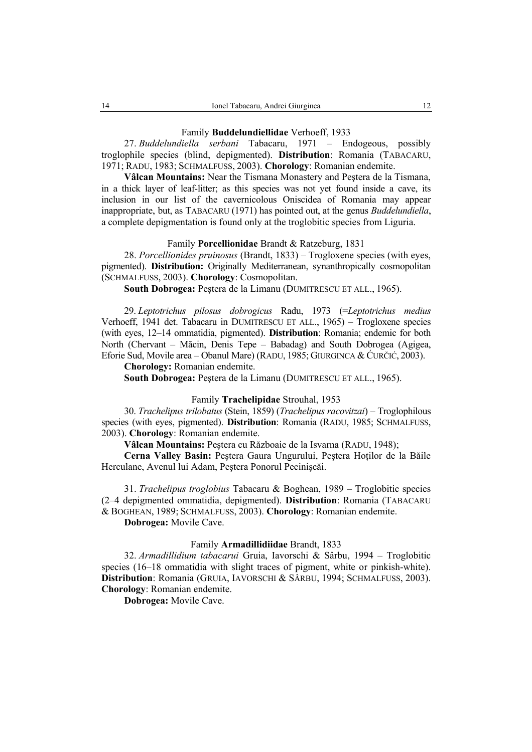### Family **Buddelundiellidae** Verhoeff, 1933

27. *Buddelundiella serbani* Tabacaru, 1971 – Endogeous, possibly troglophile species (blind, depigmented). **Distribution**: Romania (TABACARU, 1971; RADU, 1983; SCHMALFUSS, 2003). **Chorology**: Romanian endemite.

**Vâlcan Mountains:** Near the Tismana Monastery and Peştera de la Tismana, in a thick layer of leaf-litter; as this species was not yet found inside a cave, its inclusion in our list of the cavernicolous Oniscidea of Romania may appear inappropriate, but, as TABACARU (1971) has pointed out, at the genus *Buddelundiella*, a complete depigmentation is found only at the troglobitic species from Liguria.

### Family **Porcellionidae** Brandt & Ratzeburg, 1831

28. *Porcellionides pruinosus* (Brandt, 1833) – Trogloxene species (with eyes, pigmented). **Distribution:** Originally Mediterranean, synanthropically cosmopolitan (SCHMALFUSS, 2003). **Chorology**: Cosmopolitan.

**South Dobrogea:** Peştera de la Limanu (DUMITRESCU ET ALL., 1965).

29. *Leptotrichus pilosus dobrogicus* Radu, 1973 (=*Leptotrichus medius*  Verhoeff, 1941 det. Tabacaru in DUMITRESCU ET ALL., 1965) – Trogloxene species (with eyes, 12–14 ommatidia, pigmented). **Distribution**: Romania; endemic for both North (Chervant – Măcin, Denis Tepe – Babadag) and South Dobrogea (Agigea, Eforie Sud, Movile area – Obanul Mare) (RADU, 1985; GIURGINCA & ĆURČIĆ, 2003).

**Chorology:** Romanian endemite.

**South Dobrogea:** Peştera de la Limanu (DUMITRESCU ET ALL., 1965).

## Family **Trachelipidae** Strouhal, 1953

30. *Trachelipus trilobatus* (Stein, 1859) (*Trachelipus racovitzai*) – Troglophilous species (with eyes, pigmented). **Distribution**: Romania (RADU, 1985; SCHMALFUSS, 2003). **Chorology**: Romanian endemite.

**Vâlcan Mountains:** Peştera cu Războaie de la Isvarna (RADU, 1948);

**Cerna Valley Basin:** Peştera Gaura Ungurului, Peştera Hoţilor de la Băile Herculane, Avenul lui Adam, Peştera Ponorul Pecinişcăi.

31. *Trachelipus troglobius* Tabacaru & Boghean, 1989 – Troglobitic species (2–4 depigmented ommatidia, depigmented). **Distribution**: Romania (TABACARU & BOGHEAN, 1989; SCHMALFUSS, 2003). **Chorology**: Romanian endemite.

**Dobrogea:** Movile Cave.

#### Family **Armadillidiidae** Brandt, 1833

32. *Armadillidium tabacarui* Gruia, Iavorschi & Sârbu, 1994 – Troglobitic species (16–18 ommatidia with slight traces of pigment, white or pinkish-white). **Distribution**: Romania (GRUIA, IAVORSCHI & SÂRBU, 1994; SCHMALFUSS, 2003). **Chorology**: Romanian endemite.

**Dobrogea:** Movile Cave.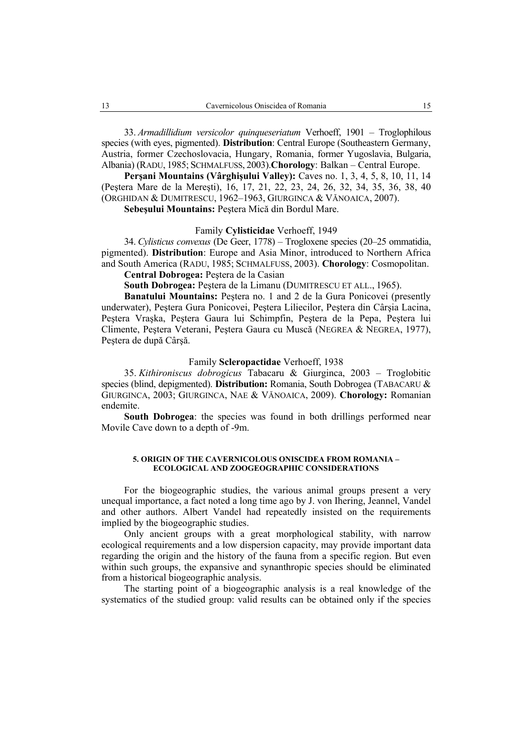33. *Armadillidium versicolor quinqueseriatum* Verhoeff, 1901 – Troglophilous species (with eyes, pigmented). **Distribution**: Central Europe (Southeastern Germany, Austria, former Czechoslovacia, Hungary, Romania, former Yugoslavia, Bulgaria, Albania) (RADU, 1985; SCHMALFUSS, 2003).**Chorology**: Balkan – Central Europe.

**Perşani Mountains (Vârghişului Valley):** Caves no. 1, 3, 4, 5, 8, 10, 11, 14 (Peştera Mare de la Mereşti), 16, 17, 21, 22, 23, 24, 26, 32, 34, 35, 36, 38, 40 (ORGHIDAN & DUMITRESCU, 1962–1963, GIURGINCA & VĂNOAICA, 2007).

**Sebeşului Mountains:** Peştera Mică din Bordul Mare.

### Family **Cylisticidae** Verhoeff, 1949

34. *Cylisticus convexus* (De Geer, 1778) – Trogloxene species (20–25 ommatidia, pigmented). **Distribution**: Europe and Asia Minor, introduced to Northern Africa and South America (RADU, 1985; SCHMALFUSS, 2003). **Chorology**: Cosmopolitan.

**Central Dobrogea:** Peştera de la Casian

**South Dobrogea:** Peştera de la Limanu (DUMITRESCU ET ALL., 1965).

**Banatului Mountains:** Peştera no. 1 and 2 de la Gura Ponicovei (presently underwater), Peştera Gura Ponicovei, Peştera Liliecilor, Peştera din Cârşia Lacina, Peştera Vraşka, Peştera Gaura lui Schimpfin, Peştera de la Pepa, Peştera lui Climente, Peştera Veterani, Peştera Gaura cu Muscă (NEGREA & NEGREA, 1977), Peştera de după Cârşă.

## Family **Scleropactidae** Verhoeff, 1938

35. *Kithironiscus dobrogicus* Tabacaru & Giurginca, 2003 – Troglobitic species (blind, depigmented). **Distribution:** Romania, South Dobrogea (TABACARU & GIURGINCA, 2003; GIURGINCA, NAE & VĂNOAICA, 2009). **Chorology:** Romanian endemite.

**South Dobrogea**: the species was found in both drillings performed near Movile Cave down to a depth of -9m.

#### **5. ORIGIN OF THE CAVERNICOLOUS ONISCIDEA FROM ROMANIA – ECOLOGICAL AND ZOOGEOGRAPHIC CONSIDERATIONS**

For the biogeographic studies, the various animal groups present a very unequal importance, a fact noted a long time ago by J. von Ihering, Jeannel, Vandel and other authors. Albert Vandel had repeatedly insisted on the requirements implied by the biogeographic studies.

Only ancient groups with a great morphological stability, with narrow ecological requirements and a low dispersion capacity, may provide important data regarding the origin and the history of the fauna from a specific region. But even within such groups, the expansive and synanthropic species should be eliminated from a historical biogeographic analysis.

The starting point of a biogeographic analysis is a real knowledge of the systematics of the studied group: valid results can be obtained only if the species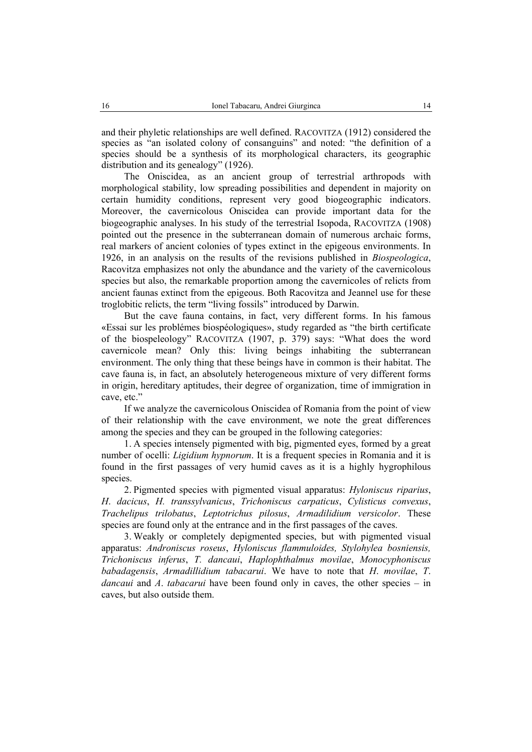and their phyletic relationships are well defined. RACOVITZA (1912) considered the species as "an isolated colony of consanguins" and noted: "the definition of a species should be a synthesis of its morphological characters, its geographic distribution and its genealogy" (1926).

The Oniscidea, as an ancient group of terrestrial arthropods with morphological stability, low spreading possibilities and dependent in majority on certain humidity conditions, represent very good biogeographic indicators. Moreover, the cavernicolous Oniscidea can provide important data for the biogeographic analyses. In his study of the terrestrial Isopoda, RACOVITZA (1908) pointed out the presence in the subterranean domain of numerous archaic forms, real markers of ancient colonies of types extinct in the epigeous environments. In 1926, in an analysis on the results of the revisions published in *Biospeologica*, Racovitza emphasizes not only the abundance and the variety of the cavernicolous species but also, the remarkable proportion among the cavernicoles of relicts from ancient faunas extinct from the epigeous. Both Racovitza and Jeannel use for these troglobitic relicts, the term "living fossils" introduced by Darwin.

But the cave fauna contains, in fact, very different forms. In his famous «Essai sur les problémes biospéologiques», study regarded as "the birth certificate of the biospeleology" RACOVITZA (1907, p. 379) says: "What does the word cavernicole mean? Only this: living beings inhabiting the subterranean environment. The only thing that these beings have in common is their habitat. The cave fauna is, in fact, an absolutely heterogeneous mixture of very different forms in origin, hereditary aptitudes, their degree of organization, time of immigration in cave, etc."

If we analyze the cavernicolous Oniscidea of Romania from the point of view of their relationship with the cave environment, we note the great differences among the species and they can be grouped in the following categories:

1. A species intensely pigmented with big, pigmented eyes, formed by a great number of ocelli: *Ligidium hypnorum*. It is a frequent species in Romania and it is found in the first passages of very humid caves as it is a highly hygrophilous species.

2. Pigmented species with pigmented visual apparatus: *Hyloniscus riparius*, *H*. *dacicus*, *H. transsylvanicus*, *Trichoniscus carpaticus*, *Cylisticus convexus*, *Trachelipus trilobatus*, *Leptotrichus pilosus*, *Armadilidium versicolor*. These species are found only at the entrance and in the first passages of the caves.

3. Weakly or completely depigmented species, but with pigmented visual apparatus: *Androniscus roseus*, *Hyloniscus flammuloides, Stylohylea bosniensis, Trichoniscus inferus*, *T. dancaui*, *Haplophthalmus movilae*, *Monocyphoniscus babadagensis*, *Armadillidium tabacarui*. We have to note that *H*. *movilae*, *T*. *dancaui* and *A*. *tabacarui* have been found only in caves, the other species – in caves, but also outside them.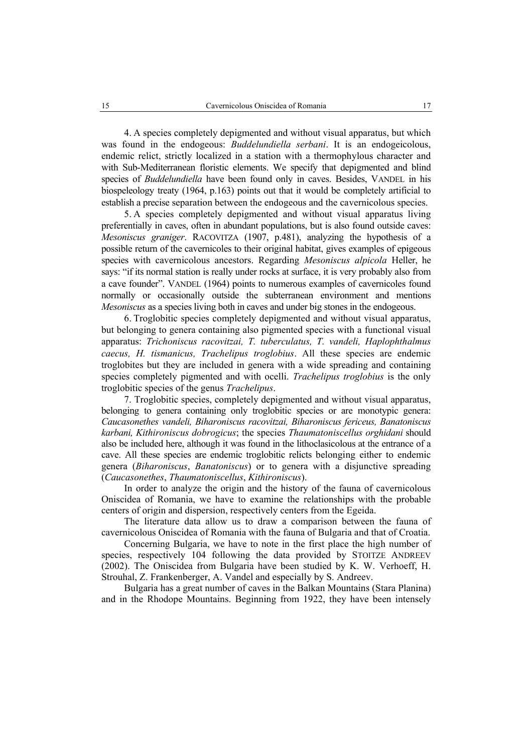4. A species completely depigmented and without visual apparatus, but which was found in the endogeous: *Buddelundiella serbani*. It is an endogeicolous, endemic relict, strictly localized in a station with a thermophylous character and with Sub-Mediterranean floristic elements. We specify that depigmented and blind species of *Buddelundiella* have been found only in caves. Besides, VANDEL in his biospeleology treaty (1964, p.163) points out that it would be completely artificial to establish a precise separation between the endogeous and the cavernicolous species.

5. A species completely depigmented and without visual apparatus living preferentially in caves, often in abundant populations, but is also found outside caves: *Mesoniscus graniger*. RACOVITZA (1907, p.481), analyzing the hypothesis of a possible return of the cavernicoles to their original habitat, gives examples of epigeous species with cavernicolous ancestors. Regarding *Mesoniscus alpicola* Heller, he says: "if its normal station is really under rocks at surface, it is very probably also from a cave founder". VANDEL (1964) points to numerous examples of cavernicoles found normally or occasionally outside the subterranean environment and mentions *Mesoniscus* as a species living both in caves and under big stones in the endogeous.

6. Troglobitic species completely depigmented and without visual apparatus, but belonging to genera containing also pigmented species with a functional visual apparatus: *Trichoniscus racovitzai, T. tuberculatus, T. vandeli, Haplophthalmus caecus, H. tismanicus, Trachelipus troglobius*. All these species are endemic troglobites but they are included in genera with a wide spreading and containing species completely pigmented and with ocelli. *Trachelipus troglobius* is the only troglobitic species of the genus *Trachelipus*.

7. Troglobitic species, completely depigmented and without visual apparatus, belonging to genera containing only troglobitic species or are monotypic genera: *Caucasonethes vandeli, Biharoniscus racovitzai, Biharoniscus fericeus, Banatoniscus karbani, Kithironiscus dobrogicus*; the species *Thaumatoniscellus orghidani* should also be included here, although it was found in the lithoclasicolous at the entrance of a cave. All these species are endemic troglobitic relicts belonging either to endemic genera (*Biharoniscus*, *Banatoniscus*) or to genera with a disjunctive spreading (*Caucasonethes*, *Thaumatoniscellus*, *Kithironiscus*).

In order to analyze the origin and the history of the fauna of cavernicolous Oniscidea of Romania, we have to examine the relationships with the probable centers of origin and dispersion, respectively centers from the Egeida.

The literature data allow us to draw a comparison between the fauna of cavernicolous Oniscidea of Romania with the fauna of Bulgaria and that of Croatia.

Concerning Bulgaria, we have to note in the first place the high number of species, respectively 104 following the data provided by STOITZE ANDREEV (2002). The Oniscidea from Bulgaria have been studied by K. W. Verhoeff, H. Strouhal, Z. Frankenberger, A. Vandel and especially by S. Andreev.

Bulgaria has a great number of caves in the Balkan Mountains (Stara Planina) and in the Rhodope Mountains. Beginning from 1922, they have been intensely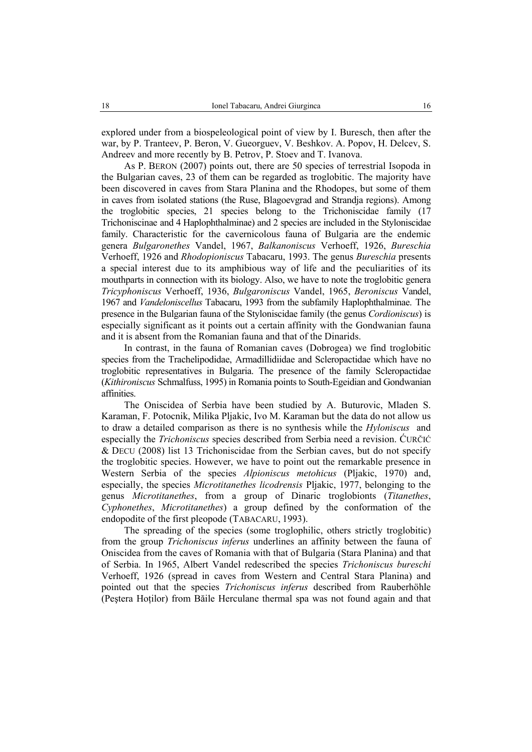explored under from a biospeleological point of view by I. Buresch, then after the war, by P. Tranteev, P. Beron, V. Gueorguev, V. Beshkov. A. Popov, H. Delcev, S. Andreev and more recently by B. Petrov, P. Stoev and T. Ivanova.

As P. BERON (2007) points out, there are 50 species of terrestrial Isopoda in the Bulgarian caves, 23 of them can be regarded as troglobitic. The majority have been discovered in caves from Stara Planina and the Rhodopes, but some of them in caves from isolated stations (the Ruse, Blagoevgrad and Strandja regions). Among the troglobitic species, 21 species belong to the Trichoniscidae family (17 Trichoniscinae and 4 Haplophthalminae) and 2 species are included in the Styloniscidae family. Characteristic for the cavernicolous fauna of Bulgaria are the endemic genera *Bulgaronethes* Vandel, 1967, *Balkanoniscus* Verhoeff, 1926, *Bureschia* Verhoeff, 1926 and *Rhodopioniscus* Tabacaru, 1993. The genus *Bureschia* presents a special interest due to its amphibious way of life and the peculiarities of its mouthparts in connection with its biology. Also, we have to note the troglobitic genera *Tricyphoniscus* Verhoeff, 1936, *Bulgaroniscus* Vandel, 1965, *Beroniscus* Vandel, 1967 and *Vandeloniscellus* Tabacaru, 1993 from the subfamily Haplophthalminae. The presence in the Bulgarian fauna of the Styloniscidae family (the genus *Cordioniscus*) is especially significant as it points out a certain affinity with the Gondwanian fauna and it is absent from the Romanian fauna and that of the Dinarids.

In contrast, in the fauna of Romanian caves (Dobrogea) we find troglobitic species from the Trachelipodidae, Armadillidiidae and Scleropactidae which have no troglobitic representatives in Bulgaria. The presence of the family Scleropactidae (*Kithironiscus* Schmalfuss, 1995) in Romania points to South-Egeidian and Gondwanian affinities.

The Oniscidea of Serbia have been studied by A. Buturovic, Mladen S. Karaman, F. Potocnik, Milika Pljakic, Ivo M. Karaman but the data do not allow us to draw a detailed comparison as there is no synthesis while the *Hyloniscus* and especially the *Trichoniscus* species described from Serbia need a revision. ĆURČIĆ & DECU (2008) list 13 Trichoniscidae from the Serbian caves, but do not specify the troglobitic species. However, we have to point out the remarkable presence in Western Serbia of the species *Alpioniscus metohicus* (Pljakic, 1970) and, especially, the species *Microtitanethes licodrensis* Pljakic, 1977, belonging to the genus *Microtitanethes*, from a group of Dinaric troglobionts (*Titanethes*, *Cyphonethes*, *Microtitanethes*) a group defined by the conformation of the endopodite of the first pleopode (TABACARU, 1993).

The spreading of the species (some troglophilic, others strictly troglobitic) from the group *Trichoniscus inferus* underlines an affinity between the fauna of Oniscidea from the caves of Romania with that of Bulgaria (Stara Planina) and that of Serbia. In 1965, Albert Vandel redescribed the species *Trichoniscus bureschi*  Verhoeff, 1926 (spread in caves from Western and Central Stara Planina) and pointed out that the species *Trichoniscus inferus* described from Rauberhöhle (Peştera Hoţilor) from Băile Herculane thermal spa was not found again and that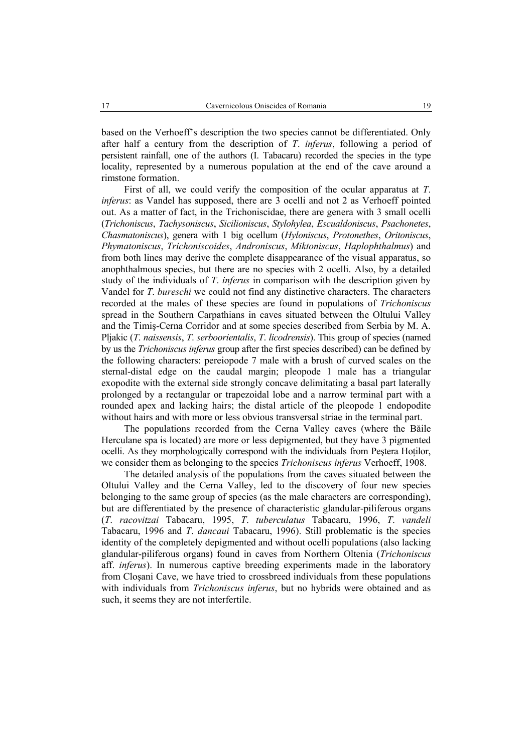based on the Verhoeff's description the two species cannot be differentiated. Only after half a century from the description of *T*. *inferus*, following a period of persistent rainfall, one of the authors (I. Tabacaru) recorded the species in the type locality, represented by a numerous population at the end of the cave around a rimstone formation.

First of all, we could verify the composition of the ocular apparatus at *T*. *inferus*: as Vandel has supposed, there are 3 ocelli and not 2 as Verhoeff pointed out. As a matter of fact, in the Trichoniscidae, there are genera with 3 small ocelli (*Trichoniscus*, *Tachysoniscus*, *Sicilioniscus*, *Stylohylea*, *Escualdoniscus*, *Psachonetes*, *Chasmatoniscus*), genera with 1 big ocellum (*Hyloniscus*, *Protonethes*, *Oritoniscus*, *Phymatoniscus*, *Trichoniscoides*, *Androniscus*, *Miktoniscus*, *Haplophthalmus*) and from both lines may derive the complete disappearance of the visual apparatus, so anophthalmous species, but there are no species with 2 ocelli. Also, by a detailed study of the individuals of *T*. *inferus* in comparison with the description given by Vandel for *T*. *bureschi* we could not find any distinctive characters. The characters recorded at the males of these species are found in populations of *Trichoniscus* spread in the Southern Carpathians in caves situated between the Oltului Valley and the Timiş-Cerna Corridor and at some species described from Serbia by M. A. Pljakic (*T*. *naissensis*, *T*. *serboorientalis*, *T*. *licodrensis*). This group of species (named by us the *Trichoniscus inferus* group after the first species described) can be defined by the following characters: pereiopode 7 male with a brush of curved scales on the sternal-distal edge on the caudal margin; pleopode 1 male has a triangular exopodite with the external side strongly concave delimitating a basal part laterally prolonged by a rectangular or trapezoidal lobe and a narrow terminal part with a rounded apex and lacking hairs; the distal article of the pleopode 1 endopodite without hairs and with more or less obvious transversal striae in the terminal part.

The populations recorded from the Cerna Valley caves (where the Băile Herculane spa is located) are more or less depigmented, but they have 3 pigmented ocelli. As they morphologically correspond with the individuals from Peştera Hoţilor, we consider them as belonging to the species *Trichoniscus inferus* Verhoeff, 1908.

The detailed analysis of the populations from the caves situated between the Oltului Valley and the Cerna Valley, led to the discovery of four new species belonging to the same group of species (as the male characters are corresponding), but are differentiated by the presence of characteristic glandular-piliferous organs (*T*. *racovitzai* Tabacaru, 1995, *T*. *tuberculatus* Tabacaru, 1996, *T*. *vandeli* Tabacaru, 1996 and *T*. *dancaui* Tabacaru, 1996). Still problematic is the species identity of the completely depigmented and without ocelli populations (also lacking glandular-piliferous organs) found in caves from Northern Oltenia (*Trichoniscus*  aff. *inferus*). In numerous captive breeding experiments made in the laboratory from Cloşani Cave, we have tried to crossbreed individuals from these populations with individuals from *Trichoniscus inferus*, but no hybrids were obtained and as such, it seems they are not interfertile.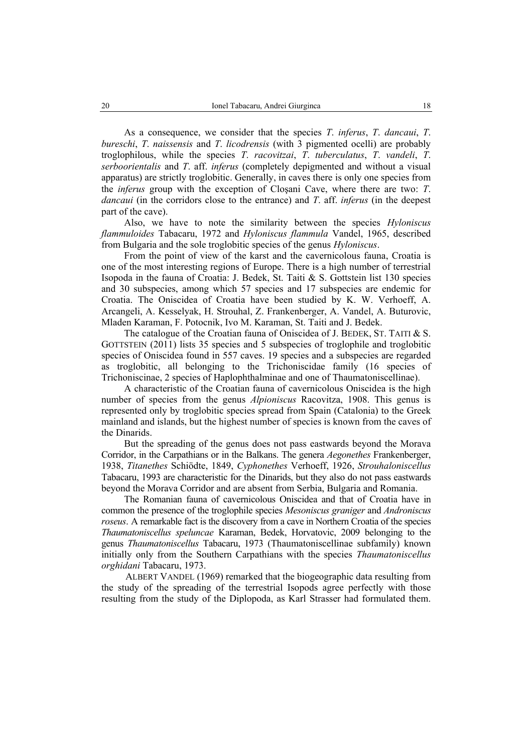As a consequence, we consider that the species *T*. *inferus*, *T*. *dancaui*, *T*. *bureschi*, *T*. *naissensis* and *T*. *licodrensis* (with 3 pigmented ocelli) are probably troglophilous, while the species *T*. *racovitzai*, *T*. *tuberculatus*, *T*. *vandeli*, *T*. *serboorientalis* and *T*. aff. *inferus* (completely depigmented and without a visual apparatus) are strictly troglobitic. Generally, in caves there is only one species from the *inferus* group with the exception of Cloşani Cave, where there are two: *T*. *dancaui* (in the corridors close to the entrance) and *T*. aff. *inferus* (in the deepest part of the cave).

Also, we have to note the similarity between the species *Hyloniscus flammuloides* Tabacaru, 1972 and *Hyloniscus flammula* Vandel, 1965, described from Bulgaria and the sole troglobitic species of the genus *Hyloniscus*.

From the point of view of the karst and the cavernicolous fauna, Croatia is one of the most interesting regions of Europe. There is a high number of terrestrial Isopoda in the fauna of Croatia: J. Bedek, St. Taiti & S. Gottstein list 130 species and 30 subspecies, among which 57 species and 17 subspecies are endemic for Croatia. The Oniscidea of Croatia have been studied by K. W. Verhoeff, A. Arcangeli, A. Kesselyak, H. Strouhal, Z. Frankenberger, A. Vandel, A. Buturovic, Mladen Karaman, F. Potocnik, Ivo M. Karaman, St. Taiti and J. Bedek.

The catalogue of the Croatian fauna of Oniscidea of J. BEDEK, ST. TAITI & S. GOTTSTEIN (2011) lists 35 species and 5 subspecies of troglophile and troglobitic species of Oniscidea found in 557 caves. 19 species and a subspecies are regarded as troglobitic, all belonging to the Trichoniscidae family (16 species of Trichoniscinae, 2 species of Haplophthalminae and one of Thaumatoniscellinae).

A characteristic of the Croatian fauna of cavernicolous Oniscidea is the high number of species from the genus *Alpioniscus* Racovitza, 1908. This genus is represented only by troglobitic species spread from Spain (Catalonia) to the Greek mainland and islands, but the highest number of species is known from the caves of the Dinarids.

But the spreading of the genus does not pass eastwards beyond the Morava Corridor, in the Carpathians or in the Balkans. The genera *Aegonethes* Frankenberger, 1938, *Titanethes* Schiödte, 1849, *Cyphonethes* Verhoeff, 1926, *Strouhaloniscellus*  Tabacaru, 1993 are characteristic for the Dinarids, but they also do not pass eastwards beyond the Morava Corridor and are absent from Serbia, Bulgaria and Romania.

The Romanian fauna of cavernicolous Oniscidea and that of Croatia have in common the presence of the troglophile species *Mesoniscus graniger* and *Androniscus roseus*. A remarkable fact is the discovery from a cave in Northern Croatia of the species *Thaumatoniscellus speluncae* Karaman, Bedek, Horvatovic, 2009 belonging to the genus *Thaumatoniscellus* Tabacaru, 1973 (Thaumatoniscellinae subfamily) known initially only from the Southern Carpathians with the species *Thaumatoniscellus orghidani* Tabacaru, 1973.

ALBERT VANDEL (1969) remarked that the biogeographic data resulting from the study of the spreading of the terrestrial Isopods agree perfectly with those resulting from the study of the Diplopoda, as Karl Strasser had formulated them.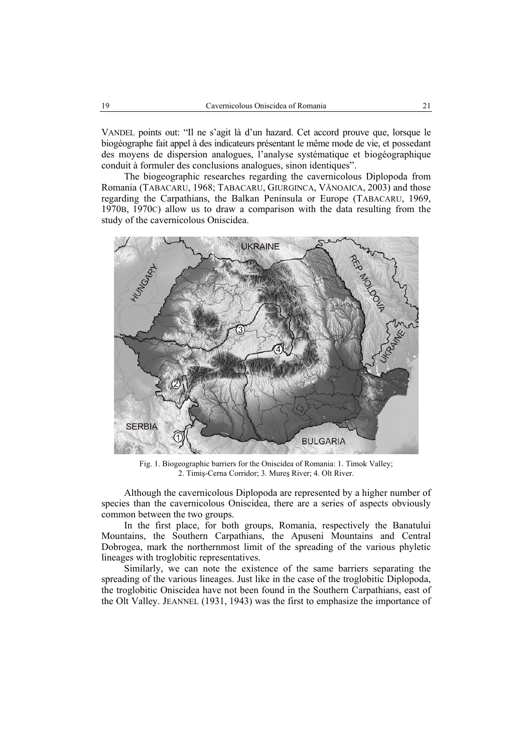VANDEL points out: "Il ne s'agit là d'un hazard. Cet accord prouve que, lorsque le biogéographe fait appel à des indicateurs présentant le même mode de vie, et possedant des moyens de dispersion analogues, l'analyse systématique et biogéographique conduit à formuler des conclusions analogues, sinon identiques".

The biogeographic researches regarding the cavernicolous Diplopoda from Romania (TABACARU, 1968; TABACARU, GIURGINCA, VĂNOAICA, 2003) and those regarding the Carpathians, the Balkan Peninsula or Europe (TABACARU, 1969, 1970B, 1970C) allow us to draw a comparison with the data resulting from the study of the cavernicolous Oniscidea.



Fig. 1. Biogeographic barriers for the Oniscidea of Romania: 1. Timok Valley; 2. Timiş-Cerna Corridor; 3. Mureş River; 4. Olt River.

Although the cavernicolous Diplopoda are represented by a higher number of species than the cavernicolous Oniscidea, there are a series of aspects obviously common between the two groups.

In the first place, for both groups, Romania, respectively the Banatului Mountains, the Southern Carpathians, the Apuseni Mountains and Central Dobrogea, mark the northernmost limit of the spreading of the various phyletic lineages with troglobitic representatives.

Similarly, we can note the existence of the same barriers separating the spreading of the various lineages. Just like in the case of the troglobitic Diplopoda, the troglobitic Oniscidea have not been found in the Southern Carpathians, east of the Olt Valley. JEANNEL (1931, 1943) was the first to emphasize the importance of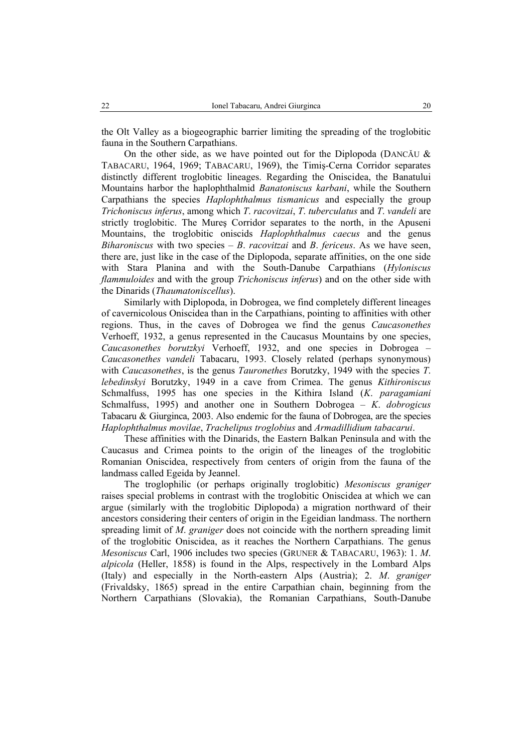the Olt Valley as a biogeographic barrier limiting the spreading of the troglobitic fauna in the Southern Carpathians.

On the other side, as we have pointed out for the Diplopoda (DANCĂU  $\&$ TABACARU, 1964, 1969; TABACARU, 1969), the Timiş-Cerna Corridor separates distinctly different troglobitic lineages. Regarding the Oniscidea, the Banatului Mountains harbor the haplophthalmid *Banatoniscus karbani*, while the Southern Carpathians the species *Haplophthalmus tismanicus* and especially the group *Trichoniscus inferus*, among which *T*. *racovitzai*, *T*. *tuberculatus* and *T*. *vandeli* are strictly troglobitic. The Mureş Corridor separates to the north, in the Apuseni Mountains, the troglobitic oniscids *Haplophthalmus caecus* and the genus *Biharoniscus* with two species – *B*. *racovitzai* and *B*. *fericeus*. As we have seen, there are, just like in the case of the Diplopoda, separate affinities, on the one side with Stara Planina and with the South-Danube Carpathians (*Hyloniscus flammuloides* and with the group *Trichoniscus inferus*) and on the other side with the Dinarids (*Thaumatoniscellus*).

Similarly with Diplopoda, in Dobrogea, we find completely different lineages of cavernicolous Oniscidea than in the Carpathians, pointing to affinities with other regions. Thus, in the caves of Dobrogea we find the genus *Caucasonethes*  Verhoeff, 1932, a genus represented in the Caucasus Mountains by one species, *Caucasonethes borutzkyi* Verhoeff, 1932, and one species in Dobrogea – *Caucasonethes vandeli* Tabacaru, 1993. Closely related (perhaps synonymous) with *Caucasonethes*, is the genus *Tauronethes* Borutzky, 1949 with the species *T*. *lebedinskyi* Borutzky, 1949 in a cave from Crimea. The genus *Kithironiscus* Schmalfuss, 1995 has one species in the Kithira Island (*K*. *paragamiani* Schmalfuss, 1995) and another one in Southern Dobrogea – *K*. *dobrogicus* Tabacaru & Giurginca, 2003. Also endemic for the fauna of Dobrogea, are the species *Haplophthalmus movilae*, *Trachelipus troglobius* and *Armadillidium tabacarui*.

These affinities with the Dinarids, the Eastern Balkan Peninsula and with the Caucasus and Crimea points to the origin of the lineages of the troglobitic Romanian Oniscidea, respectively from centers of origin from the fauna of the landmass called Egeida by Jeannel.

The troglophilic (or perhaps originally troglobitic) *Mesoniscus graniger* raises special problems in contrast with the troglobitic Oniscidea at which we can argue (similarly with the troglobitic Diplopoda) a migration northward of their ancestors considering their centers of origin in the Egeidian landmass. The northern spreading limit of *M*. *graniger* does not coincide with the northern spreading limit of the troglobitic Oniscidea, as it reaches the Northern Carpathians. The genus *Mesoniscus* Carl, 1906 includes two species (GRUNER & TABACARU, 1963): 1. *M*. *alpicola* (Heller, 1858) is found in the Alps, respectively in the Lombard Alps (Italy) and especially in the North-eastern Alps (Austria); 2. *M*. *graniger* (Frivaldsky, 1865) spread in the entire Carpathian chain, beginning from the Northern Carpathians (Slovakia), the Romanian Carpathians, South-Danube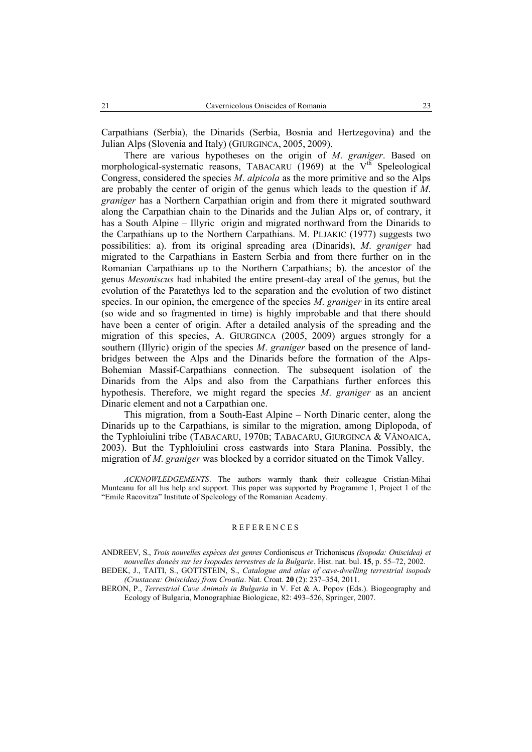Carpathians (Serbia), the Dinarids (Serbia, Bosnia and Hertzegovina) and the Julian Alps (Slovenia and Italy) (GIURGINCA, 2005, 2009).

There are various hypotheses on the origin of *M*. *graniger*. Based on morphological-systematic reasons, TABACARU (1969) at the  $V<sup>th</sup>$  Speleological Congress, considered the species *M*. *alpicola* as the more primitive and so the Alps are probably the center of origin of the genus which leads to the question if *M*. *graniger* has a Northern Carpathian origin and from there it migrated southward along the Carpathian chain to the Dinarids and the Julian Alps or, of contrary, it has a South Alpine – Illyric origin and migrated northward from the Dinarids to the Carpathians up to the Northern Carpathians. M. PLJAKIC (1977) suggests two possibilities: a). from its original spreading area (Dinarids), *M*. *graniger* had migrated to the Carpathians in Eastern Serbia and from there further on in the Romanian Carpathians up to the Northern Carpathians; b). the ancestor of the genus *Mesoniscus* had inhabited the entire present-day areal of the genus, but the evolution of the Paratethys led to the separation and the evolution of two distinct species. In our opinion, the emergence of the species *M*. *graniger* in its entire areal (so wide and so fragmented in time) is highly improbable and that there should have been a center of origin. After a detailed analysis of the spreading and the migration of this species, A. GIURGINCA (2005, 2009) argues strongly for a southern (Illyric) origin of the species *M*. *graniger* based on the presence of landbridges between the Alps and the Dinarids before the formation of the Alps-Bohemian Massif-Carpathians connection. The subsequent isolation of the Dinarids from the Alps and also from the Carpathians further enforces this hypothesis. Therefore, we might regard the species *M*. *graniger* as an ancient Dinaric element and not a Carpathian one.

This migration, from a South-East Alpine – North Dinaric center, along the Dinarids up to the Carpathians, is similar to the migration, among Diplopoda, of the Typhloiulini tribe (TABACARU, 1970B; TABACARU, GIURGINCA & VĂNOAICA, 2003). But the Typhloiulini cross eastwards into Stara Planina. Possibly, the migration of *M*. *graniger* was blocked by a corridor situated on the Timok Valley.

#### REFERENCES

ANDREEV, S., *Trois nouvelles espèces des genres* Cordioniscus *et* Trichoniscus *(Isopoda: Oniscidea) et nouvelles doneés sur les Isopodes terrestres de la Bulgarie*. Hist. nat. bul. **15**, p. 55–72, 2002.

BEDEK, J., TAITI, S., GOTTSTEIN, S., *Catalogue and atlas of cave-dwelling terrestrial isopods (Crustacea: Oniscidea) from Croatia*. Nat. Croat. **20** (2): 237–354, 2011.

BERON, P., *Terrestrial Cave Animals in Bulgaria* in V. Fet & A. Popov (Eds.). Biogeography and Ecology of Bulgaria, Monographiae Biologicae, 82: 493–526, Springer, 2007.

*ACKNOWLEDGEMENTS*. The authors warmly thank their colleague Cristian-Mihai Munteanu for all his help and support. This paper was supported by Programme 1, Project 1 of the "Emile Racovitza" Institute of Speleology of the Romanian Academy.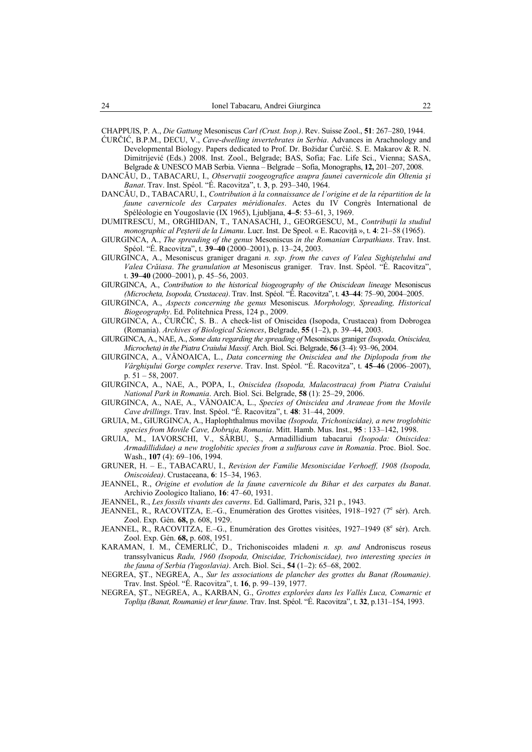CHAPPUIS, P. A., *Die Gattung* Mesoniscus *Carl (Crust. Isop.)*. Rev. Suisse Zool., **51**: 267–280, 1944.

- ĆURČIĆ, B.P.M., DECU, V., *Cave-dwelling invertebrates in Serbia*. Advances in Arachnology and Developmental Biology. Papers dedicated to Prof. Dr. Božidar Ćurčić. S. E. Makarov & R. N. Dimitrijević (Eds.) 2008. Inst. Zool., Belgrade; BAS, Sofia; Fac. Life Sci., Vienna; SASA, Belgrade & UNESCO MAB Serbia. Vienna – Belgrade – Sofia, Monographs, **12,** 201–207, 2008.
- DANCĂU, D., TABACARU, I., *Observaţii zoogeografice asupra faunei cavernicole din Oltenia şi Banat*. Trav. Inst. Spéol. "É. Racovitza", t. **3**, p. 293–340, 1964.
- DANCĂU, D., TABACARU, I., *Contribution à la connaissance de l'origine et de la répartition de la faune cavernicole des Carpates méridionales*. Actes du IV Congrès International de Spéléologie en Yougoslavie (IX 1965), Ljubljana, **4–5**: 53–61, 3, 1969.
- DUMITRESCU, M., ORGHIDAN, T., TANASACHI, J., GEORGESCU, M., *Contribuţii la studiul monographic al Peşterii de la Limanu*. Lucr. Inst. De Speol. « E. Racoviţă », t. **4**: 21–58 (1965).
- GIURGINCA, A., *The spreading of the genus* Mesoniscus *in the Romanian Carpathians*. Trav. Inst. Spéol. "É. Racovitza", t. **39–40** (2000–2001), p. 13–24, 2003.
- GIURGINCA, A., Mesoniscus graniger dragani *n. ssp*. *from the caves of Valea Sighiştelului and Valea Crăiasa*. *The granulation at* Mesoniscus graniger*.* Trav. Inst. Spéol. "É. Racovitza", t. **39–40** (2000–2001), p. 45–56, 2003.
- GIURGINCA, A., *Contribution to the historical biogeography of the Oniscidean lineage* Mesoniscus *(Microcheta, Isopoda, Crustacea)*. Trav. Inst. Spéol. "É. Racovitza", t. **43–44**: 75–90, 2004–2005.
- GIURGINCA, A., *Aspects concerning the genus* Mesoniscus*. Morphology, Spreading, Historical Biogeography*. Ed. Politehnica Press, 124 p., 2009.
- GIURGINCA, A., ĆURČIĆ, S. B.. A check-list of Oniscidea (Isopoda, Crustacea) from Dobrogea (Romania). *Archives of Biological Sciences*, Belgrade, **55** (1–2), p. 39–44, 2003.
- GIURGINCA, A., NAE, A., *Some data regarding the spreading of* Mesoniscus graniger *(Isopoda, Oniscidea, Microcheta) in the Piatra Craiului Massif*. Arch. Biol. Sci. Belgrade, **56** (3–4): 93–96, 2004.
- GIURGINCA, A., VĂNOAICA, L., *Data concerning the Oniscidea and the Diplopoda from the Vârghişului Gorge complex reserve*. Trav. Inst. Spéol. "É. Racovitza", t. **45–46** (2006–2007), p. 51 – 58, 2007.

GIURGINCA, A., NAE, A., POPA, I., *Oniscidea (Isopoda, Malacostraca) from Piatra Craiului National Park in Romania*. Arch. Biol. Sci. Belgrade, **58** (1): 25–29, 2006.

- GIURGINCA, A., NAE, A., VĂNOAICA, L., *Species of Oniscidea and Araneae from the Movile Cave drillings*. Trav. Inst. Spéol. "É. Racovitza", t. **48**: 31–44, 2009.
- GRUIA, M., GIURGINCA, A., Haplophthalmus movilae *(Isopoda, Trichoniscidae), a new troglobitic species from Movile Cave, Dobruja, Romania*. Mitt. Hamb. Mus. Inst., **95** : 133–142, 1998.
- GRUIA, M., IAVORSCHI, V., SÂRBU, Ş., Armadillidium tabacarui *(Isopoda: Oniscidea: Armadillididae) a new troglobitic species from a sulfurous cave in Romania*. Proc. Biol. Soc. Wash., **107** (4): 69–106, 1994.
- GRUNER, H. E., TABACARU, I., *Revision der Familie Mesoniscidae Verhoeff, 1908 (Isopoda, Oniscoidea)*. Crustaceana, **6**: 15–34, 1963.
- JEANNEL, R., *Origine et evolution de la faune cavernicole du Bihar et des carpates du Banat*. Archivio Zoologico Italiano, **16**: 47–60, 1931.
- JEANNEL, R., *Les fossils vivants des caverns*. Ed. Gallimard, Paris, 321 p., 1943.
- JEANNEL, R., RACOVITZA, E.-G., Enumération des Grottes visitées, 1918-1927 (7<sup>e</sup> sér). Arch. Zool. Exp. Gén. **68,** p. 608, 1929.
- JEANNEL, R., RACOVITZA, E.-G., Enumération des Grottes visitées, 1927-1949 (8<sup>e</sup> sér). Arch. Zool. Exp. Gén. **68,** p. 608, 1951.
- KARAMAN, I. M., ČEMERLIĆ, D., Trichoniscoides mladeni *n. sp. and* Androniscus roseus transsylvanicus *Radu, 1960 (Isopoda, Oniscidae, Trichoniscidae), two interesting species in the fauna of Serbia (Yugoslavia)*. Arch. Biol. Sci., **54** (1–2): 65–68, 2002.
- NEGREA, ŞT., NEGREA, A., *Sur les associations de plancher des grottes du Banat (Roumanie)*. Trav. Inst. Spéol. "É. Racovitza", t. **16**, p. 99–139, 1977.
- NEGREA, ŞT., NEGREA, A., KARBAN, G., *Grottes explorées dans les Vallés Luca, Comarnic et Topliţa (Banat, Roumanie) et leur faune*. Trav. Inst. Spéol. "É. Racovitza", t. **32**, p.131–154, 1993.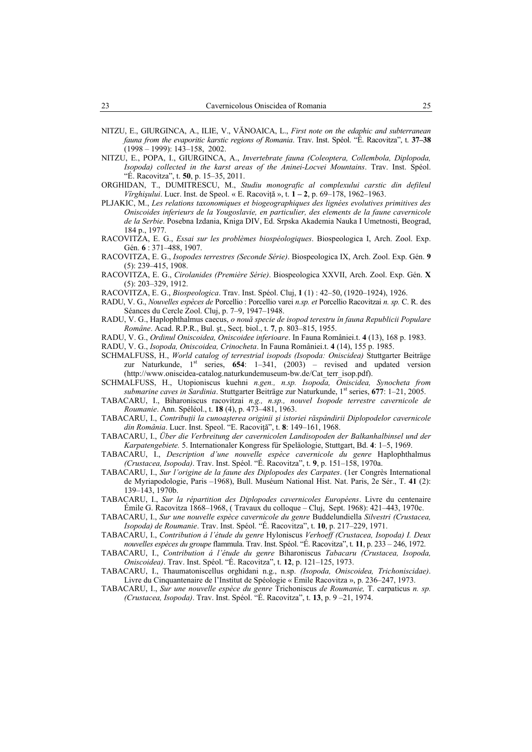- NITZU, E., GIURGINCA, A., ILIE, V., VĂNOAICA, L., *First note on the edaphic and subterranean fauna from the evaporitic karstic regions of Romania*. Trav. Inst. Spéol. "É. Racovitza", t. **37–38** (1998 – 1999): 143–158, 2002.
- NITZU, E., POPA, I., GIURGINCA, A., *Invertebrate fauna (Coleoptera, Collembola, Diplopoda, Isopoda) collected in the karst areas of the Aninei-Locvei Mountains*. Trav. Inst. Spéol. "É. Racovitza", t. **50**, p. 15–35, 2011.
- ORGHIDAN, T., DUMITRESCU, M., *Studiu monografic al complexului carstic din defileul Vîrghişului*. Lucr. Inst. de Speol. « E. Racoviţă », t. **1 – 2**, p. 69–178, 1962–1963.
- PLJAKIC, M., *Les relations taxonomiques et biogeographiques des lignées evolutives primitives des Oniscoides inferieurs de la Yougoslavie, en particulier, des elements de la faune cavernicole de la Serbie*. Posebna Izdania, Kniga DIV, Ed. Srpska Akademia Nauka I Umetnosti, Beograd, 184 p., 1977.
- RACOVITZA, E. G., *Essai sur les problèmes biospéologiques*. Biospeologica I, Arch. Zool. Exp. Gén. **6** : 371–488, 1907.
- RACOVITZA, E. G., *Isopodes terrestres (Seconde Série)*. Biospeologica IX, Arch. Zool. Exp. Gén. **9**  (5): 239–415, 1908.
- RACOVITZA, E. G., *Cirolanides (Première Série)*. Biospeologica XXVII, Arch. Zool. Exp. Gén. **X**  (5): 203–329, 1912.

RACOVITZA, E. G., *Biospeologica*. Trav. Inst. Spéol. Cluj, **1** (1) : 42–50, (1920–1924), 1926.

- RADU, V. G., *Nouvelles espèces de* Porcellio : Porcellio varei *n.sp. et* Porcellio Racovitzai *n. sp.* C. R. des Séances du Cercle Zool. Cluj, p. 7–9, 1947–1948.
- RADU, V. G., Haplophthalmus caecus, *o nouă specie de isopod terestru în fauna Republicii Populare Române*. Acad. R.P.R., Bul. şt., Secţ. biol., t. **7**, p. 803–815, 1955.
- RADU, V. G., *Ordinul Oniscoidea, Oniscoidee inferioare*. In Fauna României.t. **4** (13), 168 p. 1983.
- RADU, V. G., *Isopoda, Oniscoidea, Crinocheta*. In Fauna României.t. **4** (14), 155 p. 1985.
- SCHMALFUSS, H., *World catalog of terrestrial isopods (Isopoda: Oniscidea)* Stuttgarter Beiträge zur Naturkunde, 1st series, **654**: 1–341, (2003) – revised and updated version (http://www.oniscidea-catalog.naturkundemuseum-bw.de/Cat\_terr\_isop.pdf).
- SCHMALFUSS, H., Utopioniscus kuehni *n.gen., n.sp. Isopoda, Oniscidea, Synocheta from submarine caves in Sardinia*. Stuttgarter Beiträge zur Naturkunde, 1st series, **677**: 1–21, 2005.
- TABACARU, I., Biharoniscus racovitzai *n.g., n.sp., nouvel Isopode terrestre cavernicole de Roumanie*. Ann. Spéléol., t. **18** (4), p. 473–481, 1963.
- TABACARU, I., *Contribuţii la cunoaşterea originii şi istoriei răspândirii Diplopodelor cavernicole din România*. Lucr. Inst. Speol. "E. Racoviţă", t. **8**: 149–161, 1968.
- TABACARU, I., *Über die Verbreitung der cavernicolen Landisopoden der Balkanhalbinsel und der Karpatengebiete.* 5. Internationaler Kongress für Speläologie, Stuttgart, Bd. **4**: 1–5, 1969.
- TABACARU, I., *Description d'une nouvelle espèce cavernicole du genre* Haplophthalmus *(Crustacea, Isopoda)*. Trav. Inst. Spéol. "É. Racovitza", t. **9**, p. 151–158, 1970a.
- TABACARU, I., *Sur l'origine de la faune des Diplopodes des Carpates*. (1er Congrès International de Myriapodologie, Paris –1968), Bull. Muséum National Hist. Nat. Paris, 2e Sér., T. **41** (2): 139–143, 1970b.
- TABACARU, I., *Sur la répartition des Diplopodes cavernicoles Européens*. Livre du centenaire Émile G. Racovitza 1868–1968, ( Travaux du colloque – Cluj, Sept. 1968): 421–443, 1970c.
- TABACARU, I., *Sur une nouvelle espèce cavernicole du genre* Buddelundiella *Silvestri (Crustacea, Isopoda) de Roumanie*. Trav. Inst. Spéol. "É. Racovitza", t. **10**, p. 217–229, 1971.
- TABACARU, I., *Contribution á l'étude du genre* Hyloniscus *Verhoeff (Crustacea, Isopoda) I. Deux nouvelles espèces du groupe* flammula. Trav. Inst. Spéol. "É. Racovitza", t. **11**, p. 233 – 246, 1972.
- TABACARU, I., *Contribution á l'étude du genre* Biharoniscus *Tabacaru (Crustacea, Isopoda, Oniscoidea)*. Trav. Inst. Spéol. "É. Racovitza", t. **12**, p. 121–125, 1973.
- TABACARU, I., Thaumatoniscellus orghidani n.g., n.sp. *(Isopoda, Oniscoidea, Trichoniscidae)*. Livre du Cinquantenaire de l'Institut de Spéologie « Emile Racovitza », p. 236–247, 1973.
- TABACARU, I., *Sur une nouvelle espèce du genre* Trichoniscus *de Roumanie,* T. carpaticus *n. sp. (Crustacea, Isopoda)*. Trav. Inst. Spéol. "É. Racovitza", t. **13**, p. 9 –21, 1974.